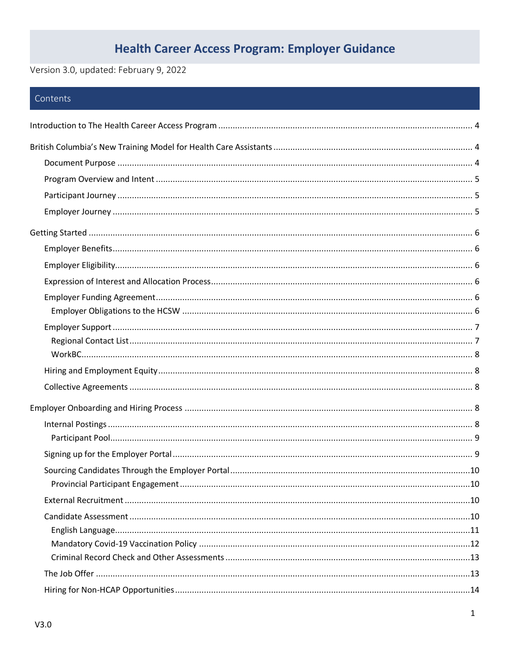# **Health Career Access Program: Employer Guidance**

Version 3.0, updated: February 9, 2022

# Contents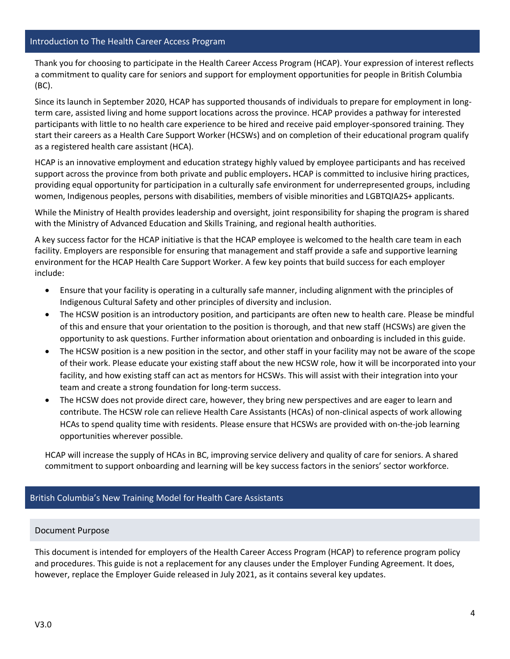<span id="page-3-0"></span>Thank you for choosing to participate in the Health Career Access Program (HCAP). Your expression of interest reflects a commitment to quality care for seniors and support for employment opportunities for people in British Columbia (BC).

Since its launch in September 2020, HCAP has supported thousands of individuals to prepare for employment in longterm care, assisted living and home support locations across the province. HCAP provides a pathway for interested participants with little to no health care experience to be hired and receive paid employer-sponsored training. They start their careers as a Health Care Support Worker (HCSWs) and on completion of their educational program qualify as a registered health care assistant (HCA).

HCAP is an innovative employment and education strategy highly valued by employee participants and has received support across the province from both private and public employers**.** HCAP is committed to inclusive hiring practices, providing equal opportunity for participation in a culturally safe environment for underrepresented groups, including women, Indigenous peoples, persons with disabilities, members of visible minorities and LGBTQIA2S+ applicants.

While the Ministry of Health provides leadership and oversight, joint responsibility for shaping the program is shared with the Ministry of Advanced Education and Skills Training, and regional health authorities.

A key success factor for the HCAP initiative is that the HCAP employee is welcomed to the health care team in each facility. Employers are responsible for ensuring that management and staff provide a safe and supportive learning environment for the HCAP Health Care Support Worker. A few key points that build success for each employer include:

- Ensure that your facility is operating in a culturally safe manner, including alignment with the principles of Indigenous Cultural Safety and other principles of diversity and inclusion.
- The HCSW position is an introductory position, and participants are often new to health care. Please be mindful of this and ensure that your orientation to the position is thorough, and that new staff (HCSWs) are given the opportunity to ask questions. Further information about orientation and onboarding is included in this guide.
- The HCSW position is a new position in the sector, and other staff in your facility may not be aware of the scope of their work. Please educate your existing staff about the new HCSW role, how it will be incorporated into your facility, and how existing staff can act as mentors for HCSWs. This will assist with their integration into your team and create a strong foundation for long-term success.
- The HCSW does not provide direct care, however, they bring new perspectives and are eager to learn and contribute. The HCSW role can relieve Health Care Assistants (HCAs) of non-clinical aspects of work allowing HCAs to spend quality time with residents. Please ensure that HCSWs are provided with on-the-job learning opportunities wherever possible.

HCAP will increase the supply of HCAs in BC, improving service delivery and quality of care for seniors. A shared commitment to support onboarding and learning will be key success factors in the seniors' sector workforce.

# <span id="page-3-2"></span><span id="page-3-1"></span>British Columbia's New Training Model for Health Care Assistants

# Document Purpose

This document is intended for employers of the Health Career Access Program (HCAP) to reference program policy and procedures. This guide is not a replacement for any clauses under the Employer Funding Agreement. It does, however, replace the Employer Guide released in July 2021, as it contains several key updates.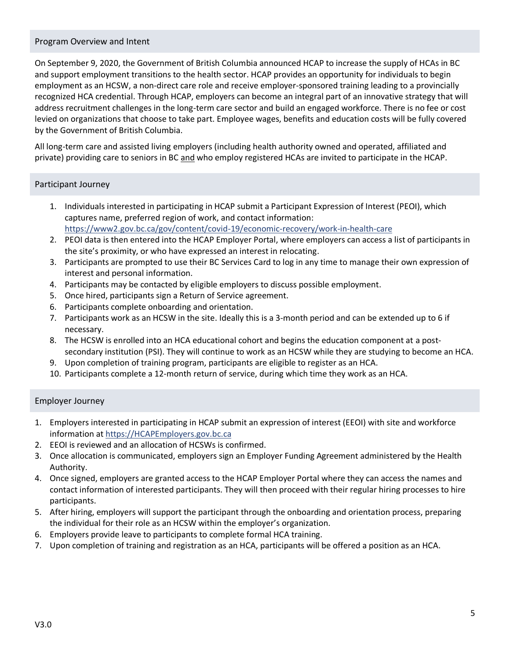# <span id="page-4-0"></span>Program Overview and Intent

On September 9, 2020, the Government of British Columbia announced HCAP to increase the supply of HCAs in BC and support employment transitions to the health sector. HCAP provides an opportunity for individuals to begin employment as an HCSW, a non-direct care role and receive employer-sponsored training leading to a provincially recognized HCA credential. Through HCAP, employers can become an integral part of an innovative strategy that will address recruitment challenges in the long-term care sector and build an engaged workforce. There is no fee or cost levied on organizations that choose to take part. Employee wages, benefits and education costs will be fully covered by the Government of British Columbia.

All long-term care and assisted living employers (including health authority owned and operated, affiliated and private) providing care to seniors in BC and who employ registered HCAs are invited to participate in the HCAP.

# <span id="page-4-1"></span>Participant Journey

- 1. Individuals interested in participating in HCAP submit a Participant Expression of Interest (PEOI), which captures name, preferred region of work, and contact information: <https://www2.gov.bc.ca/gov/content/covid-19/economic-recovery/work-in-health-care>
- 2. PEOI data is then entered into the HCAP Employer Portal, where employers can access a list of participants in the site's proximity, or who have expressed an interest in relocating.
- 3. Participants are prompted to use their BC Services Card to log in any time to manage their own expression of interest and personal information.
- 4. Participants may be contacted by eligible employers to discuss possible employment.
- 5. Once hired, participants sign a Return of Service agreement.
- 6. Participants complete onboarding and orientation.
- 7. Participants work as an HCSW in the site. Ideally this is a 3-month period and can be extended up to 6 if necessary.
- 8. The HCSW is enrolled into an HCA educational cohort and begins the education component at a postsecondary institution (PSI). They will continue to work as an HCSW while they are studying to become an HCA.
- 9. Upon completion of training program, participants are eligible to register as an HCA.
- 10. Participants complete a 12-month return of service, during which time they work as an HCA.

# <span id="page-4-2"></span>Employer Journey

- 1. Employers interested in participating in HCAP submit an expression of interest (EEOI) with site and workforce information a[t https://HCAPEmployers.gov.bc.ca](https://hcapemployers.gov.bc.ca/)
- 2. EEOI is reviewed and an allocation of HCSWs is confirmed.
- 3. Once allocation is communicated, employers sign an Employer Funding Agreement administered by the Health Authority.
- 4. Once signed, employers are granted access to the HCAP Employer Portal where they can access the names and contact information of interested participants. They will then proceed with their regular hiring processes to hire participants.
- 5. After hiring, employers will support the participant through the onboarding and orientation process, preparing the individual for their role as an HCSW within the employer's organization.
- 6. Employers provide leave to participants to complete formal HCA training.
- 7. Upon completion of training and registration as an HCA, participants will be offered a position as an HCA.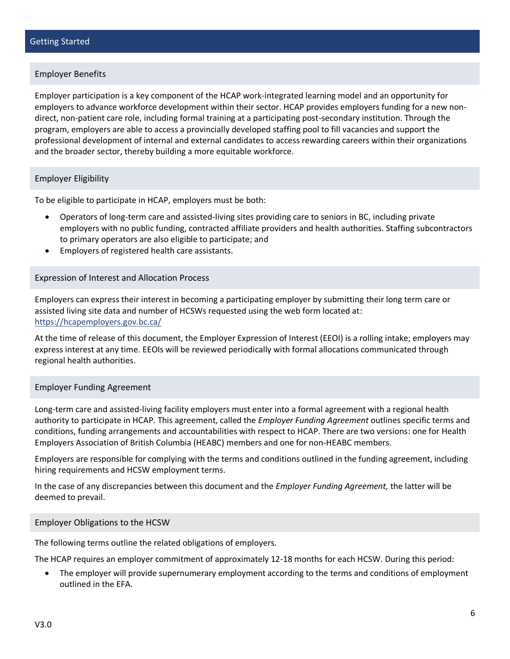# <span id="page-5-1"></span><span id="page-5-0"></span>Employer Benefits

Employer participation is a key component of the HCAP work-integrated learning model and an opportunity for employers to advance workforce development within their sector. HCAP provides employers funding for a new nondirect, non-patient care role, including formal training at a participating post-secondary institution. Through the program, employers are able to access a provincially developed staffing pool to fill vacancies and support the professional development of internal and external candidates to access rewarding careers within their organizations and the broader sector, thereby building a more equitable workforce.

# <span id="page-5-2"></span>Employer Eligibility

To be eligible to participate in HCAP, employers must be both:

- Operators of long-term care and assisted-living sites providing care to seniors in BC, including private employers with no public funding, contracted affiliate providers and health authorities. Staffing subcontractors to primary operators are also eligible to participate; and
- Employers of registered health care assistants.

#### <span id="page-5-3"></span>Expression of Interest and Allocation Process

Employers can express their interest in becoming a participating employer by submitting their long term care or assisted living site data and number of HCSWs requested using the web form located at: <https://hcapemployers.gov.bc.ca/>

At the time of release of this document, the Employer Expression of Interest (EEOI) is a rolling intake; employers may express interest at any time. EEOIs will be reviewed periodically with formal allocations communicated through regional health authorities.

#### <span id="page-5-4"></span>Employer Funding Agreement

Long-term care and assisted-living facility employers must enter into a formal agreement with a regional health authority to participate in HCAP. This agreement, called the *Employer Funding Agreement* outlines specific terms and conditions, funding arrangements and accountabilities with respect to HCAP. There are two versions: one for Health Employers Association of British Columbia (HEABC) members and one for non-HEABC members.

Employers are responsible for complying with the terms and conditions outlined in the funding agreement, including hiring requirements and HCSW employment terms.

In the case of any discrepancies between this document and the *Employer Funding Agreement,* the latter will be deemed to prevail.

#### <span id="page-5-5"></span>Employer Obligations to the HCSW

The following terms outline the related obligations of employers.

The HCAP requires an employer commitment of approximately 12-18 months for each HCSW. During this period:

• The employer will provide supernumerary employment according to the terms and conditions of employment outlined in the EFA.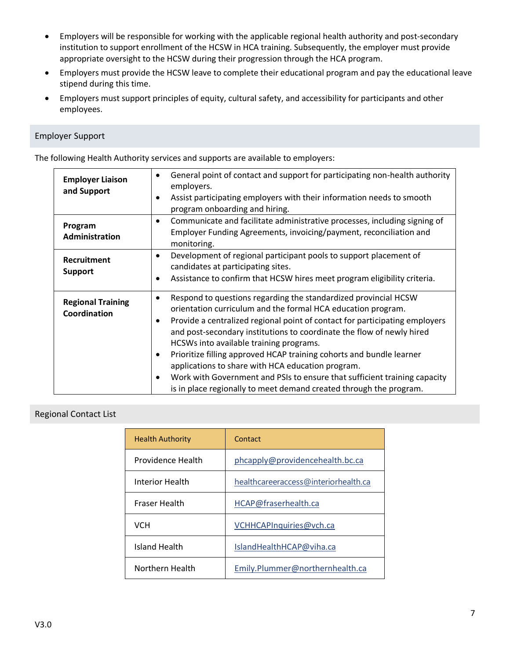- Employers will be responsible for working with the applicable regional health authority and post-secondary institution to support enrollment of the HCSW in HCA training. Subsequently, the employer must provide appropriate oversight to the HCSW during their progression through the HCA program.
- Employers must provide the HCSW leave to complete their educational program and pay the educational leave stipend during this time.
- Employers must support principles of equity, cultural safety, and accessibility for participants and other employees.

# <span id="page-6-0"></span>Employer Support

The following Health Authority services and supports are available to employers:

| <b>Employer Liaison</b><br>and Support   | General point of contact and support for participating non-health authority<br>employers.<br>Assist participating employers with their information needs to smooth<br>program onboarding and hiring.                                                                                                                                                                                                                                                                                                                                                                                                                    |
|------------------------------------------|-------------------------------------------------------------------------------------------------------------------------------------------------------------------------------------------------------------------------------------------------------------------------------------------------------------------------------------------------------------------------------------------------------------------------------------------------------------------------------------------------------------------------------------------------------------------------------------------------------------------------|
| Program<br>Administration                | Communicate and facilitate administrative processes, including signing of<br>$\bullet$<br>Employer Funding Agreements, invoicing/payment, reconciliation and<br>monitoring.                                                                                                                                                                                                                                                                                                                                                                                                                                             |
| Recruitment<br><b>Support</b>            | Development of regional participant pools to support placement of<br>$\bullet$<br>candidates at participating sites.<br>Assistance to confirm that HCSW hires meet program eligibility criteria.<br>٠                                                                                                                                                                                                                                                                                                                                                                                                                   |
| <b>Regional Training</b><br>Coordination | Respond to questions regarding the standardized provincial HCSW<br>٠<br>orientation curriculum and the formal HCA education program.<br>Provide a centralized regional point of contact for participating employers<br>and post-secondary institutions to coordinate the flow of newly hired<br>HCSWs into available training programs.<br>Prioritize filling approved HCAP training cohorts and bundle learner<br>applications to share with HCA education program.<br>Work with Government and PSIs to ensure that sufficient training capacity<br>is in place regionally to meet demand created through the program. |

# <span id="page-6-1"></span>Regional Contact List

| <b>Health Authority</b> | Contact                              |
|-------------------------|--------------------------------------|
| Providence Health       | phcapply@providencehealth.bc.ca      |
| Interior Health         | healthcareeraccess@interiorhealth.ca |
| <b>Fraser Health</b>    | HCAP@fraserhealth.ca                 |
| VCH                     | VCHHCAPInquiries@vch.ca              |
| Island Health           | IslandHealthHCAP@viha.ca             |
| Northern Health         | Emily.Plummer@northernhealth.ca      |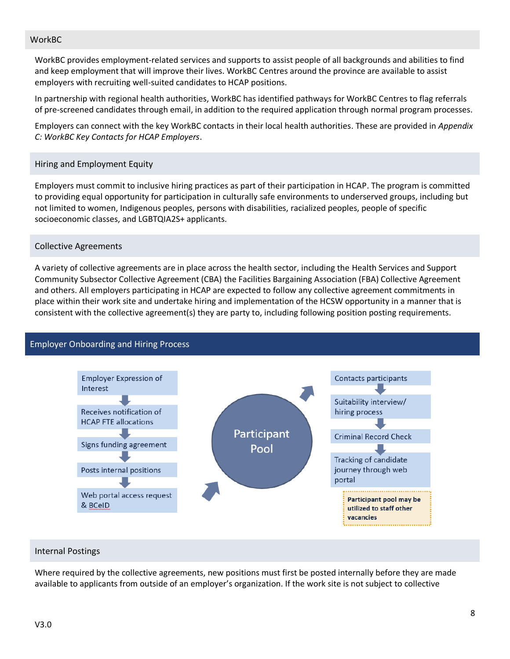# <span id="page-7-0"></span>WorkBC

WorkBC provides employment-related services and supports to assist people of all backgrounds and abilities to find and keep employment that will improve their lives. WorkBC Centres around the province are available to assist employers with recruiting well-suited candidates to HCAP positions.

In partnership with regional health authorities, WorkBC has identified pathways for WorkBC Centres to flag referrals of pre-screened candidates through email, in addition to the required application through normal program processes.

Employers can connect with the key WorkBC contacts in their local health authorities. These are provided in *Appendix C: WorkBC Key Contacts for HCAP Employers*.

# <span id="page-7-1"></span>Hiring and Employment Equity

Employers must commit to inclusive hiring practices as part of their participation in HCAP. The program is committed to providing equal opportunity for participation in culturally safe environments to underserved groups, including but not limited to women, Indigenous peoples, persons with disabilities, racialized peoples, people of specific socioeconomic classes, and LGBTQIA2S+ applicants.

# <span id="page-7-2"></span>Collective Agreements

A variety of collective agreements are in place across the health sector, including the Health Services and Support Community Subsector Collective Agreement (CBA) the Facilities Bargaining Association (FBA) Collective Agreement and others. All employers participating in HCAP are expected to follow any collective agreement commitments in place within their work site and undertake hiring and implementation of the HCSW opportunity in a manner that is consistent with the collective agreement(s) they are party to, including following position posting requirements.

<span id="page-7-3"></span>

#### <span id="page-7-4"></span>Internal Postings

Where required by the collective agreements, new positions must first be posted internally before they are made available to applicants from outside of an employer's organization. If the work site is not subject to collective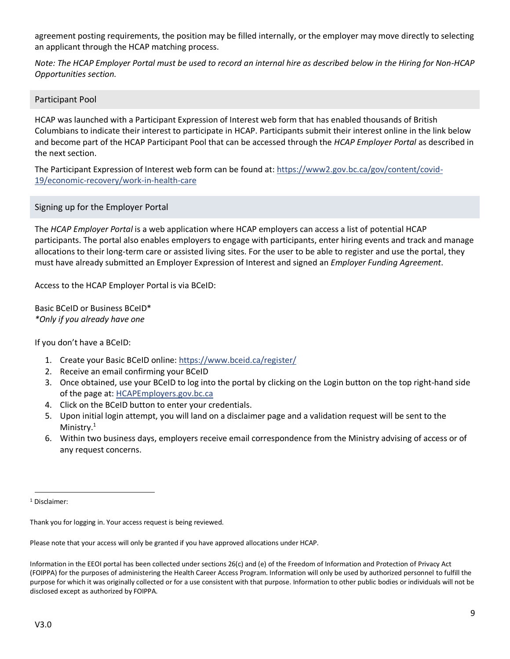agreement posting requirements, the position may be filled internally, or the employer may move directly to selecting an applicant through the HCAP matching process.

*Note: The HCAP Employer Portal must be used to record an internal hire as described below in the Hiring for Non-HCAP Opportunities section.*

<span id="page-8-0"></span>Participant Pool

HCAP was launched with a Participant Expression of Interest web form that has enabled thousands of British Columbians to indicate their interest to participate in HCAP. Participants submit their interest online in the link below and become part of the HCAP Participant Pool that can be accessed through the *HCAP Employer Portal* as described in the next section.

The Participant Expression of Interest web form can be found at: [https://www2.gov.bc.ca/gov/content/covid-](https://www2.gov.bc.ca/gov/content/covid-19/economic-recovery/work-in-health-care)[19/economic-recovery/work-in-health-care](https://www2.gov.bc.ca/gov/content/covid-19/economic-recovery/work-in-health-care)

<span id="page-8-1"></span>Signing up for the Employer Portal

The *HCAP Employer Portal* is a web application where HCAP employers can access a list of potential HCAP participants. The portal also enables employers to engage with participants, enter hiring events and track and manage allocations to their long-term care or assisted living sites. For the user to be able to register and use the portal, they must have already submitted an Employer Expression of Interest and signed an *Employer Funding Agreement*.

Access to the HCAP Employer Portal is via BCeID:

Basic BCeID or Business BCeID\* *\*Only if you already have one*

If you don't have a BCeID:

- 1. Create your Basic BCeID online:<https://www.bceid.ca/register/>
- 2. Receive an email confirming your BCeID
- 3. Once obtained, use your BCeID to log into the portal by clicking on the Login button on the top right-hand side of the page at: [HCAPEmployers.gov.bc.ca](file://///SFP.idir.bcgov/s114/S15026/HWPI/Shared/Health%20Career%20Access%20Program/5.0%20Policy%20Documents/6.5%20Guidance%20Provided%20to%20Employers/HCAP_Employer%20Guidance/March%202021/HCAPEmployers.gov.bc.ca)
- 4. Click on the BCeID button to enter your credentials.
- 5. Upon initial login attempt, you will land on a disclaimer page and a validation request will be sent to the Ministry.<sup>1</sup>
- 6. Within two business days, employers receive email correspondence from the Ministry advising of access or of any request concerns.

Please note that your access will only be granted if you have approved allocations under HCAP.

Information in the EEOI portal has been collected under sections 26(c) and (e) of the Freedom of Information and Protection of Privacy Act (FOIPPA) for the purposes of administering the Health Career Access Program. Information will only be used by authorized personnel to fulfill the purpose for which it was originally collected or for a use consistent with that purpose. Information to other public bodies or individuals will not be disclosed except as authorized by FOIPPA.

<sup>1</sup> Disclaimer:

Thank you for logging in. Your access request is being reviewed.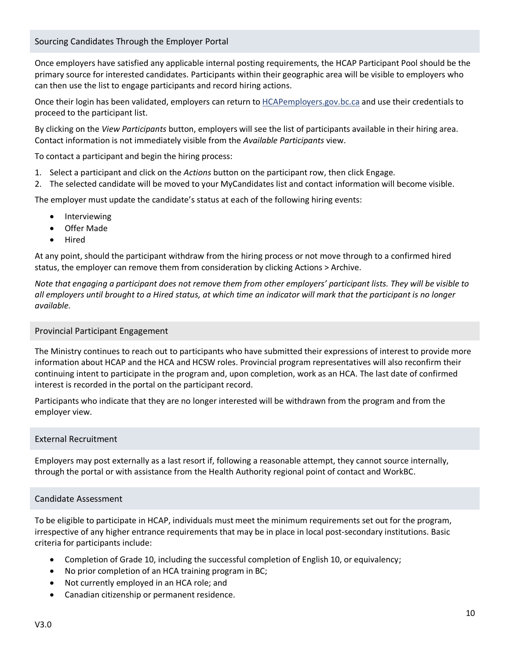# <span id="page-9-0"></span>Sourcing Candidates Through the Employer Portal

Once employers have satisfied any applicable internal posting requirements, the HCAP Participant Pool should be the primary source for interested candidates. Participants within their geographic area will be visible to employers who can then use the list to engage participants and record hiring actions.

Once their login has been validated, employers can return to [HCAPemployers.gov.bc.ca](file://///SFP.idir.bcgov/s114/S15026/HWPI/Shared/Health%20Career%20Access%20Program/5.0%20Policy%20Documents/6.5%20Guidance%20Provided%20to%20Employers/HCAP_Employer%20Guidance/March%202021/HCAPemployers.gov.bc.ca) and use their credentials to proceed to the participant list.

By clicking on the *View Participants* button, employers will see the list of participants available in their hiring area. Contact information is not immediately visible from the *Available Participants* view.

To contact a participant and begin the hiring process:

- 1. Select a participant and click on the *Actions* button on the participant row, then click Engage.
- 2. The selected candidate will be moved to your MyCandidates list and contact information will become visible.

The employer must update the candidate's status at each of the following hiring events:

- Interviewing
- Offer Made
- Hired

At any point, should the participant withdraw from the hiring process or not move through to a confirmed hired status, the employer can remove them from consideration by clicking Actions > Archive.

*Note that engaging a participant does not remove them from other employers' participant lists. They will be visible to all employers until brought to a Hired status, at which time an indicator will mark that the participant is no longer available.*

# <span id="page-9-1"></span>Provincial Participant Engagement

The Ministry continues to reach out to participants who have submitted their expressions of interest to provide more information about HCAP and the HCA and HCSW roles. Provincial program representatives will also reconfirm their continuing intent to participate in the program and, upon completion, work as an HCA. The last date of confirmed interest is recorded in the portal on the participant record.

Participants who indicate that they are no longer interested will be withdrawn from the program and from the employer view.

# <span id="page-9-2"></span>External Recruitment

Employers may post externally as a last resort if, following a reasonable attempt, they cannot source internally, through the portal or with assistance from the Health Authority regional point of contact and WorkBC.

# <span id="page-9-3"></span>Candidate Assessment

To be eligible to participate in HCAP, individuals must meet the minimum requirements set out for the program, irrespective of any higher entrance requirements that may be in place in local post-secondary institutions. Basic criteria for participants include:

- Completion of Grade 10, including the successful completion of English 10, or equivalency;
- No prior completion of an HCA training program in BC;
- Not currently employed in an HCA role; and
- Canadian citizenship or permanent residence.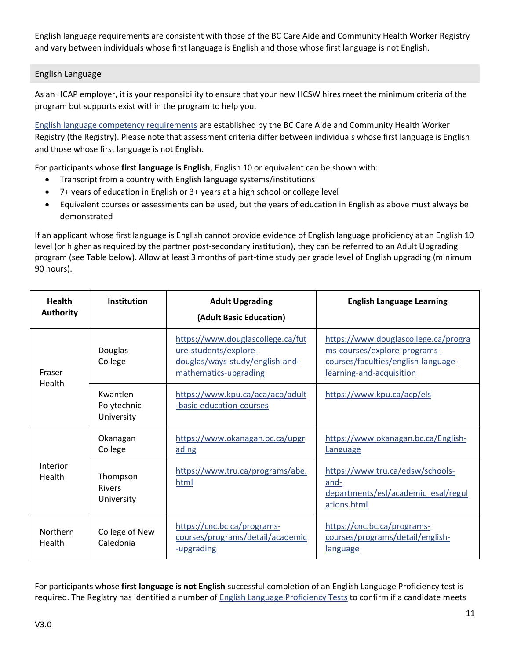English language requirements are consistent with those of the BC Care Aide and Community Health Worker Registry and vary between individuals whose first language is English and those whose first language is not English.

# <span id="page-10-0"></span>English Language

As an HCAP employer, it is your responsibility to ensure that your new HCSW hires meet the minimum criteria of the program but supports exist within the program to help you.

[English language competency requirements](https://www.cachwr.bc.ca/Documents/Educators/English-Language-Competency_HCA-Program-Entry_2018.aspx) are established by the BC Care Aide and Community Health Worker Registry (the Registry). Please note that assessment criteria differ between individuals whose first language is English and those whose first language is not English.

For participants whose **first language is English**, English 10 or equivalent can be shown with:

- Transcript from a country with English language systems/institutions
- 7+ years of education in English or 3+ years at a high school or college level
- Equivalent courses or assessments can be used, but the years of education in English as above must always be demonstrated

If an applicant whose first language is English cannot provide evidence of English language proficiency at an English 10 level (or higher as required by the partner post-secondary institution), they can be referred to an Adult Upgrading program (see Table below). Allow at least 3 months of part-time study per grade level of English upgrading (minimum 90 hours).

| <b>Health</b><br><b>Authority</b>               | <b>Institution</b>                      | <b>Adult Upgrading</b><br>(Adult Basic Education)                                                                      | <b>English Language Learning</b>                                                                                                        |
|-------------------------------------------------|-----------------------------------------|------------------------------------------------------------------------------------------------------------------------|-----------------------------------------------------------------------------------------------------------------------------------------|
| Fraser                                          | Douglas<br>College                      | https://www.douglascollege.ca/fut<br>ure-students/explore-<br>douglas/ways-study/english-and-<br>mathematics-upgrading | https://www.douglascollege.ca/progra<br>ms-courses/explore-programs-<br>courses/faculties/english-language-<br>learning-and-acquisition |
| Health<br>Kwantlen<br>Polytechnic<br>University |                                         | https://www.kpu.ca/aca/acp/adult<br>-basic-education-courses                                                           | https://www.kpu.ca/acp/els                                                                                                              |
|                                                 | Okanagan<br>College                     | https://www.okanagan.bc.ca/upgr<br>ading                                                                               | https://www.okanagan.bc.ca/English-<br>Language                                                                                         |
| Interior<br>Health                              | Thompson<br><b>Rivers</b><br>University | https://www.tru.ca/programs/abe.<br>html                                                                               | https://www.tru.ca/edsw/schools-<br>and-<br>departments/esl/academic_esal/regul<br>ations.html                                          |
| <b>Northern</b><br>Health                       | College of New<br>Caledonia             | https://cnc.bc.ca/programs-<br>courses/programs/detail/academic<br>-upgrading                                          | https://cnc.bc.ca/programs-<br>courses/programs/detail/english-<br>language                                                             |

For participants whose **first language is not English** successful completion of an English Language Proficiency test is required. The Registry has identified a number o[f English Language Proficiency Tests](https://www.cachwr.bc.ca/Documents/HCA-Program-Entry-English-Proficiency-Tests_Info.aspx) to confirm if a candidate meets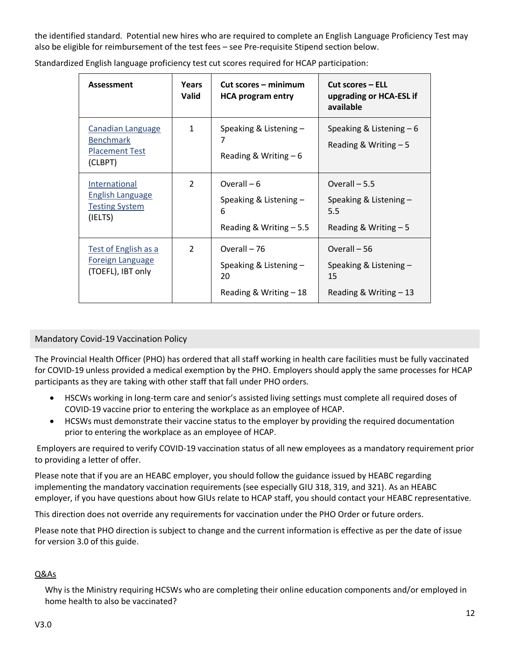the identified standard. Potential new hires who are required to complete an English Language Proficiency Test may also be eligible for reimbursement of the test fees – see Pre-requisite Stipend section below.

| Assessment                                                                       | Years<br><b>Valid</b> | Cut scores – minimum<br><b>HCA program entry</b>                        | <b>Cut scores – ELL</b><br>upgrading or HCA-ESL if<br>available           |
|----------------------------------------------------------------------------------|-----------------------|-------------------------------------------------------------------------|---------------------------------------------------------------------------|
| <b>Canadian Language</b><br><b>Benchmark</b><br><b>Placement Test</b><br>(CLBPT) | $\mathbf{1}$          | Speaking & Listening -<br>7<br>Reading & Writing $-6$                   | Speaking & Listening $-6$<br>Reading & Writing $-5$                       |
| International<br><b>English Language</b><br><b>Testing System</b><br>(IELTS)     | $\mathcal{P}$         | Overall $-6$<br>Speaking & Listening -<br>6<br>Reading & Writing - 5.5  | Overall $-5.5$<br>Speaking & Listening -<br>5.5<br>Reading & Writing $-5$ |
| Test of English as a<br><b>Foreign Language</b><br>(TOEFL), IBT only             | $\mathcal{P}$         | Overall - 76<br>Speaking & Listening -<br>20<br>Reading & Writing $-18$ | Overall - 56<br>Speaking & Listening -<br>15<br>Reading & Writing $-13$   |

Standardized English language proficiency test cut scores required for HCAP participation:

# <span id="page-11-0"></span>Mandatory Covid-19 Vaccination Policy

The Provincial Health Officer (PHO) has ordered that all staff working in health care facilities must be fully vaccinated for COVID-19 unless provided a medical exemption by the PHO. Employers should apply the same processes for HCAP participants as they are taking with other staff that fall under PHO orders.

- HSCWs working in long-term care and senior's assisted living settings must complete all required doses of COVID-19 vaccine prior to entering the workplace as an employee of HCAP.
- HCSWs must demonstrate their vaccine status to the employer by providing the required documentation prior to entering the workplace as an employee of HCAP.

Employers are required to verify COVID-19 vaccination status of all new employees as a mandatory requirement prior to providing a letter of offer.

Please note that if you are an HEABC employer, you should follow the guidance issued by HEABC regarding implementing the mandatory vaccination requirements (see especially GIU 318, 319, and 321). As an HEABC employer, if you have questions about how GIUs relate to HCAP staff, you should contact your HEABC representative.

This direction does not override any requirements for vaccination under the PHO Order or future orders.

Please note that PHO direction is subject to change and the current information is effective as per the date of issue for version 3.0 of this guide.

# Q&As

Why is the Ministry requiring HCSWs who are completing their online education components and/or employed in home health to also be vaccinated?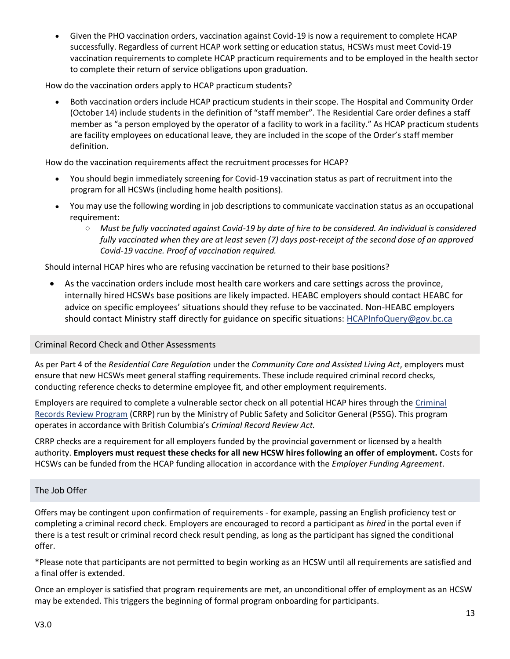• Given the PHO vaccination orders, vaccination against Covid-19 is now a requirement to complete HCAP successfully. Regardless of current HCAP work setting or education status, HCSWs must meet Covid-19 vaccination requirements to complete HCAP practicum requirements and to be employed in the health sector to complete their return of service obligations upon graduation.

How do the vaccination orders apply to HCAP practicum students?

• Both vaccination orders include HCAP practicum students in their scope. The Hospital and Community Order (October 14) include students in the definition of "staff member". The Residential Care order defines a staff member as "a person employed by the operator of a facility to work in a facility." As HCAP practicum students are facility employees on educational leave, they are included in the scope of the Order's staff member definition.

How do the vaccination requirements affect the recruitment processes for HCAP?

- You should begin immediately screening for Covid-19 vaccination status as part of recruitment into the program for all HCSWs (including home health positions).
- You may use the following wording in job descriptions to communicate vaccination status as an occupational requirement:
	- o *Must be fully vaccinated against Covid-19 by date of hire to be considered. An individual is considered fully vaccinated when they are at least seven (7) days post-receipt of the second dose of an approved Covid-19 vaccine. Proof of vaccination required.*

Should internal HCAP hires who are refusing vaccination be returned to their base positions?

• As the vaccination orders include most health care workers and care settings across the province, internally hired HCSWs base positions are likely impacted. HEABC employers should contact HEABC for advice on specific employees' situations should they refuse to be vaccinated. Non-HEABC employers should contact Ministry staff directly for guidance on specific situations: [HCAPInfoQuery@gov.bc.ca](mailto:HCAPInfoQuery@gov.bc.ca)

# <span id="page-12-0"></span>Criminal Record Check and Other Assessments

As per Part 4 of the *Residential Care Regulation* under the *Community Care and Assisted Living Act*, employers must ensure that new HCSWs meet general staffing requirements. These include required criminal record checks, conducting reference checks to determine employee fit, and other employment requirements.

Employers are required to complete a vulnerable sector check on all potential HCAP hires through the [Criminal](https://www2.gov.bc.ca/gov/content/safety/crime-prevention/criminal-record-check)  [Records Review Program](https://www2.gov.bc.ca/gov/content/safety/crime-prevention/criminal-record-check) (CRRP) run by the Ministry of Public Safety and Solicitor General (PSSG). This program operates in accordance with British Columbia's *Criminal Record Review Act.* 

CRRP checks are a requirement for all employers funded by the provincial government or licensed by a health authority. **Employers must request these checks for all new HCSW hires following an offer of employment.** Costs for HCSWs can be funded from the HCAP funding allocation in accordance with the *Employer Funding Agreement*.

# <span id="page-12-1"></span>The Job Offer

Offers may be contingent upon confirmation of requirements - for example, passing an English proficiency test or completing a criminal record check. Employers are encouraged to record a participant as *hired* in the portal even if there is a test result or criminal record check result pending, as long as the participant has signed the conditional offer.

\*Please note that participants are not permitted to begin working as an HCSW until all requirements are satisfied and a final offer is extended.

Once an employer is satisfied that program requirements are met, an unconditional offer of employment as an HCSW may be extended. This triggers the beginning of formal program onboarding for participants.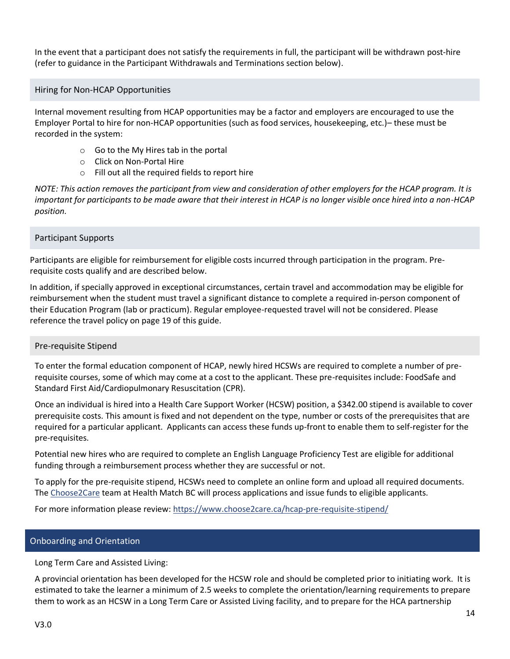In the event that a participant does not satisfy the requirements in full, the participant will be withdrawn post-hire (refer to guidance in the Participant Withdrawals and Terminations section below).

<span id="page-13-0"></span>Hiring for Non-HCAP Opportunities

Internal movement resulting from HCAP opportunities may be a factor and employers are encouraged to use the Employer Portal to hire for non-HCAP opportunities (such as food services, housekeeping, etc.)– these must be recorded in the system:

- o Go to the My Hires tab in the portal
- o Click on Non-Portal Hire
- o Fill out all the required fields to report hire

*NOTE: This action removes the participant from view and consideration of other employers for the HCAP program. It is important for participants to be made aware that their interest in HCAP is no longer visible once hired into a non-HCAP position.*

# <span id="page-13-1"></span>Participant Supports

Participants are eligible for reimbursement for eligible costs incurred through participation in the program. Prerequisite costs qualify and are described below.

In addition, if specially approved in exceptional circumstances, certain travel and accommodation may be eligible for reimbursement when the student must travel a significant distance to complete a required in-person component of their Education Program (lab or practicum). Regular employee-requested travel will not be considered. Please reference the travel policy on page 19 of this guide.

# <span id="page-13-2"></span>Pre-requisite Stipend

To enter the formal education component of HCAP, newly hired HCSWs are required to complete a number of prerequisite courses, some of which may come at a cost to the applicant. These pre-requisites include: FoodSafe and Standard First Aid/Cardiopulmonary Resuscitation (CPR).

Once an individual is hired into a Health Care Support Worker (HCSW) position, a \$342.00 stipend is available to cover prerequisite costs. This amount is fixed and not dependent on the type, number or costs of the prerequisites that are required for a particular applicant. Applicants can access these funds up-front to enable them to self-register for the pre-requisites.

Potential new hires who are required to complete an English Language Proficiency Test are eligible for additional funding through a reimbursement process whether they are successful or not.

To apply for the pre-requisite stipend, HCSWs need to complete an online form and upload all required documents. Th[e Choose2Care](https://www.choose2care.ca/) team at Health Match BC will process applications and issue funds to eligible applicants.

<span id="page-13-3"></span>For more information please review[: https://www.choose2care.ca/hcap-pre-requisite-stipend/](https://www.choose2care.ca/hcap-pre-requisite-stipend/)

# Onboarding and Orientation

Long Term Care and Assisted Living:

A provincial orientation has been developed for the HCSW role and should be completed prior to initiating work. It is estimated to take the learner a minimum of 2.5 weeks to complete the orientation/learning requirements to prepare them to work as an HCSW in a Long Term Care or Assisted Living facility, and to prepare for the HCA partnership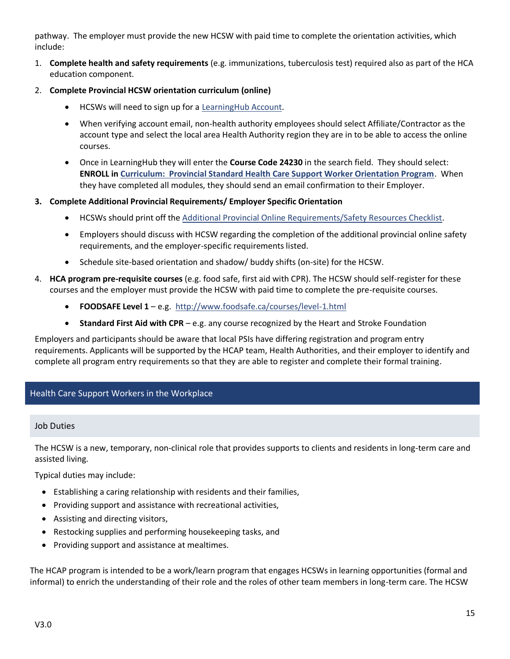pathway. The employer must provide the new HCSW with paid time to complete the orientation activities, which include:

- 1. **Complete health and safety requirements** (e.g. immunizations, tuberculosis test) required also as part of the HCA education component.
- 2. **Complete Provincial HCSW orientation curriculum (online)**
	- HCSWs will need to sign up for a [LearningHub Account.](https://learninghub.phsa.ca/Learner/Home)
	- When verifying account email, non-health authority employees should select Affiliate/Contractor as the account type and select the local area Health Authority region they are in to be able to access the online courses.
	- Once in LearningHub they will enter the **Course Code 24230** in the search field. They should select: **ENROLL in [Curriculum: Provincial Standard Health Care Support Worker Orientation Program](https://learninghub.phsa.ca/Courses/24230/curriculum-provincial-standard-health-care-support-worker-orientation-program)**. When they have completed all modules, they should send an email confirmation to their Employer.

# **3. Complete Additional Provincial Requirements/ Employer Specific Orientation**

- HCSWs should print off the [Additional Provincial Online Requirements/Safety Resources Checklist.](https://wiki.cerner.com/download/attachments/2383981392/additional-provincial-online-requirements-safety-resources-checklist.docx?api=v2)
- Employers should discuss with HCSW regarding the completion of the additional provincial online safety requirements, and the employer-specific requirements listed.
- Schedule site-based orientation and shadow/ buddy shifts (on-site) for the HCSW.
- 4. **HCA program pre-requisite courses** (e.g. food safe, first aid with CPR). The HCSW should self-register for these courses and the employer must provide the HCSW with paid time to complete the pre-requisite courses.
	- **FOODSAFE Level 1**  e.g.<http://www.foodsafe.ca/courses/level-1.html>
	- **Standard First Aid with CPR**  e.g. any course recognized by the Heart and Stroke Foundation

Employers and participants should be aware that local PSIs have differing registration and program entry requirements. Applicants will be supported by the HCAP team, Health Authorities, and their employer to identify and complete all program entry requirements so that they are able to register and complete their formal training.

# <span id="page-14-1"></span><span id="page-14-0"></span>Health Care Support Workers in the Workplace

# Job Duties

The HCSW is a new, temporary, non-clinical role that provides supports to clients and residents in long-term care and assisted living.

Typical duties may include:

- Establishing a caring relationship with residents and their families,
- Providing support and assistance with recreational activities,
- Assisting and directing visitors,
- Restocking supplies and performing housekeeping tasks, and
- Providing support and assistance at mealtimes.

The HCAP program is intended to be a work/learn program that engages HCSWs in learning opportunities (formal and informal) to enrich the understanding of their role and the roles of other team members in long-term care. The HCSW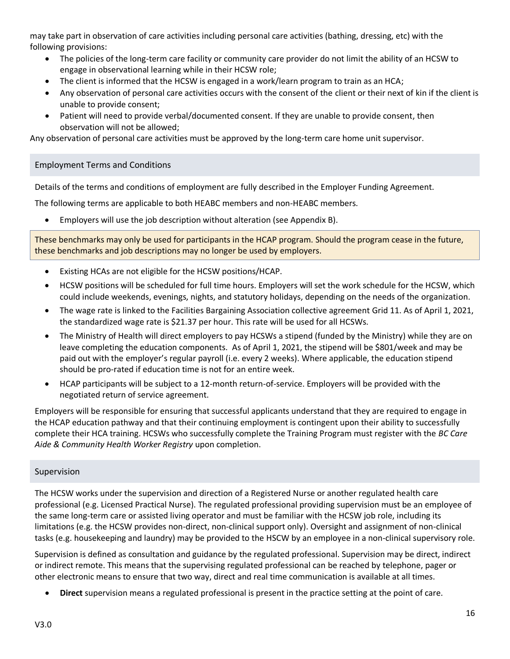may take part in observation of care activities including personal care activities (bathing, dressing, etc) with the following provisions:

- The policies of the long-term care facility or community care provider do not limit the ability of an HCSW to engage in observational learning while in their HCSW role;
- The client is informed that the HCSW is engaged in a work/learn program to train as an HCA;
- Any observation of personal care activities occurs with the consent of the client or their next of kin if the client is unable to provide consent;
- Patient will need to provide verbal/documented consent. If they are unable to provide consent, then observation will not be allowed;

<span id="page-15-0"></span>Any observation of personal care activities must be approved by the long-term care home unit supervisor.

# Employment Terms and Conditions

Details of the terms and conditions of employment are fully described in the Employer Funding Agreement.

The following terms are applicable to both HEABC members and non-HEABC members.

• Employers will use the job description without alteration (see Appendix B).

These benchmarks may only be used for participants in the HCAP program. Should the program cease in the future, these benchmarks and job descriptions may no longer be used by employers.

- Existing HCAs are not eligible for the HCSW positions/HCAP.
- HCSW positions will be scheduled for full time hours. Employers will set the work schedule for the HCSW, which could include weekends, evenings, nights, and statutory holidays, depending on the needs of the organization.
- The wage rate is linked to the Facilities Bargaining Association collective agreement Grid 11. As of April 1, 2021, the standardized wage rate is \$21.37 per hour. This rate will be used for all HCSWs.
- The Ministry of Health will direct employers to pay HCSWs a stipend (funded by the Ministry) while they are on leave completing the education components. As of April 1, 2021, the stipend will be \$801/week and may be paid out with the employer's regular payroll (i.e. every 2 weeks). Where applicable, the education stipend should be pro-rated if education time is not for an entire week.
- HCAP participants will be subject to a 12-month return-of-service. Employers will be provided with the negotiated return of service agreement.

Employers will be responsible for ensuring that successful applicants understand that they are required to engage in the HCAP education pathway and that their continuing employment is contingent upon their ability to successfully complete their HCA training. HCSWs who successfully complete the Training Program must register with the *BC Care Aide & Community Health Worker Registry* upon completion.

# <span id="page-15-1"></span>Supervision

The HCSW works under the supervision and direction of a Registered Nurse or another regulated health care professional (e.g. Licensed Practical Nurse). The regulated professional providing supervision must be an employee of the same long-term care or assisted living operator and must be familiar with the HCSW job role, including its limitations (e.g. the HCSW provides non-direct, non-clinical support only). Oversight and assignment of non-clinical tasks (e.g. housekeeping and laundry) may be provided to the HSCW by an employee in a non-clinical supervisory role.

Supervision is defined as consultation and guidance by the regulated professional. Supervision may be direct, indirect or indirect remote. This means that the supervising regulated professional can be reached by telephone, pager or other electronic means to ensure that two way, direct and real time communication is available at all times.

• **Direct** supervision means a regulated professional is present in the practice setting at the point of care.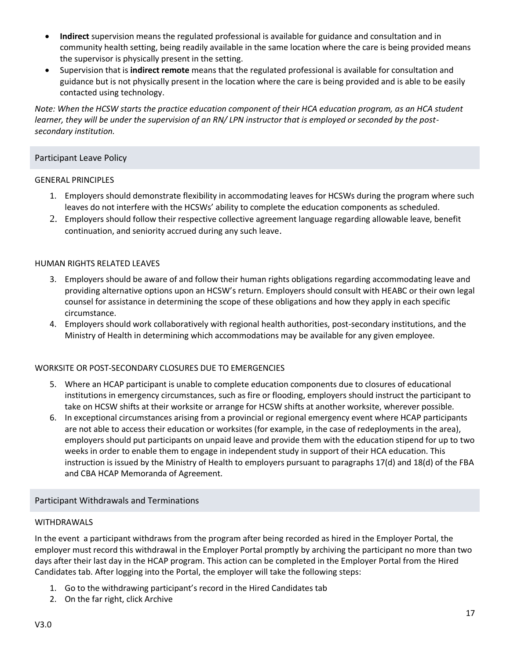- **Indirect** supervision means the regulated professional is available for guidance and consultation and in community health setting, being readily available in the same location where the care is being provided means the supervisor is physically present in the setting.
- Supervision that is **indirect remote** means that the regulated professional is available for consultation and guidance but is not physically present in the location where the care is being provided and is able to be easily contacted using technology.

*Note: When the HCSW starts the practice education component of their HCA education program, as an HCA student learner, they will be under the supervision of an RN/ LPN instructor that is employed or seconded by the postsecondary institution.*

# <span id="page-16-0"></span>Participant Leave Policy

#### GENERAL PRINCIPLES

- 1. Employers should demonstrate flexibility in accommodating leaves for HCSWs during the program where such leaves do not interfere with the HCSWs' ability to complete the education components as scheduled.
- 2. Employers should follow their respective collective agreement language regarding allowable leave, benefit continuation, and seniority accrued during any such leave.

#### HUMAN RIGHTS RELATED LEAVES

- 3. Employers should be aware of and follow their human rights obligations regarding accommodating leave and providing alternative options upon an HCSW's return. Employers should consult with HEABC or their own legal counsel for assistance in determining the scope of these obligations and how they apply in each specific circumstance.
- 4. Employers should work collaboratively with regional health authorities, post-secondary institutions, and the Ministry of Health in determining which accommodations may be available for any given employee.

# WORKSITE OR POST-SECONDARY CLOSURES DUE TO EMERGENCIES

- 5. Where an HCAP participant is unable to complete education components due to closures of educational institutions in emergency circumstances, such as fire or flooding, employers should instruct the participant to take on HCSW shifts at their worksite or arrange for HCSW shifts at another worksite, wherever possible.
- 6. In exceptional circumstances arising from a provincial or regional emergency event where HCAP participants are not able to access their education or worksites (for example, in the case of redeployments in the area), employers should put participants on unpaid leave and provide them with the education stipend for up to two weeks in order to enable them to engage in independent study in support of their HCA education. This instruction is issued by the Ministry of Health to employers pursuant to paragraphs 17(d) and 18(d) of the FBA and CBA HCAP Memoranda of Agreement.

# <span id="page-16-1"></span>Participant Withdrawals and Terminations

#### WITHDRAWALS

In the event a participant withdraws from the program after being recorded as hired in the Employer Portal, the employer must record this withdrawal in the Employer Portal promptly by archiving the participant no more than two days after their last day in the HCAP program. This action can be completed in the Employer Portal from the Hired Candidates tab. After logging into the Portal, the employer will take the following steps:

- 1. Go to the withdrawing participant's record in the Hired Candidates tab
- 2. On the far right, click Archive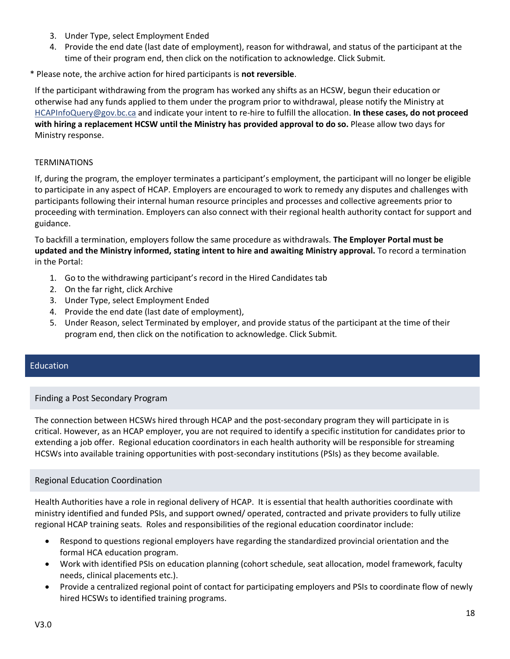- 3. Under Type, select Employment Ended
- 4. Provide the end date (last date of employment), reason for withdrawal, and status of the participant at the time of their program end, then click on the notification to acknowledge. Click Submit.

\* Please note, the archive action for hired participants is **not reversible**.

If the participant withdrawing from the program has worked any shifts as an HCSW, begun their education or otherwise had any funds applied to them under the program prior to withdrawal, please notify the Ministry at [HCAPInfoQuery@gov.bc.ca](mailto:HCAPInfoQuery@gov.bc.ca) and indicate your intent to re-hire to fulfill the allocation. **In these cases, do not proceed with hiring a replacement HCSW until the Ministry has provided approval to do so.** Please allow two days for Ministry response.

# **TERMINATIONS**

If, during the program, the employer terminates a participant's employment, the participant will no longer be eligible to participate in any aspect of HCAP. Employers are encouraged to work to remedy any disputes and challenges with participants following their internal human resource principles and processes and collective agreements prior to proceeding with termination. Employers can also connect with their regional health authority contact for support and guidance.

To backfill a termination, employers follow the same procedure as withdrawals. **The Employer Portal must be updated and the Ministry informed, stating intent to hire and awaiting Ministry approval.** To record a termination in the Portal:

- 1. Go to the withdrawing participant's record in the Hired Candidates tab
- 2. On the far right, click Archive
- 3. Under Type, select Employment Ended
- 4. Provide the end date (last date of employment),
- 5. Under Reason, select Terminated by employer, and provide status of the participant at the time of their program end, then click on the notification to acknowledge. Click Submit.

# <span id="page-17-1"></span><span id="page-17-0"></span>Education

# Finding a Post Secondary Program

The connection between HCSWs hired through HCAP and the post-secondary program they will participate in is critical. However, as an HCAP employer, you are not required to identify a specific institution for candidates prior to extending a job offer. Regional education coordinators in each health authority will be responsible for streaming HCSWs into available training opportunities with post-secondary institutions (PSIs) as they become available.

# <span id="page-17-2"></span>Regional Education Coordination

Health Authorities have a role in regional delivery of HCAP. It is essential that health authorities coordinate with ministry identified and funded PSIs, and support owned/ operated, contracted and private providers to fully utilize regional HCAP training seats. Roles and responsibilities of the regional education coordinator include:

- Respond to questions regional employers have regarding the standardized provincial orientation and the formal HCA education program.
- Work with identified PSIs on education planning (cohort schedule, seat allocation, model framework, faculty needs, clinical placements etc.).
- Provide a centralized regional point of contact for participating employers and PSIs to coordinate flow of newly hired HCSWs to identified training programs.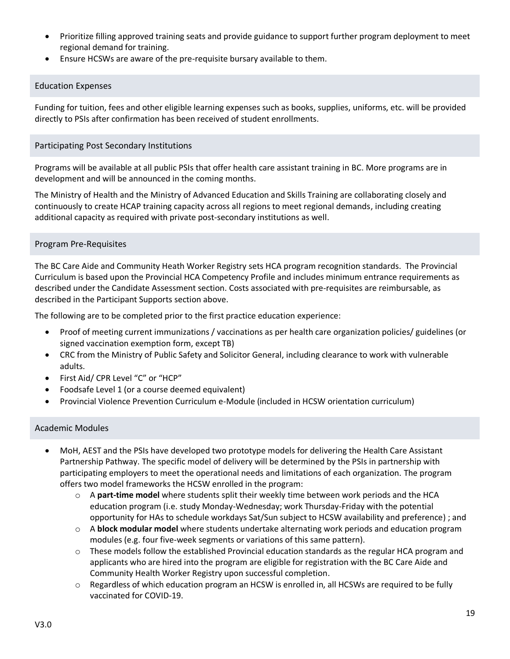- Prioritize filling approved training seats and provide guidance to support further program deployment to meet regional demand for training.
- Ensure HCSWs are aware of the pre-requisite bursary available to them.

# <span id="page-18-0"></span>Education Expenses

Funding for tuition, fees and other eligible learning expenses such as books, supplies, uniforms, etc. will be provided directly to PSIs after confirmation has been received of student enrollments.

# <span id="page-18-1"></span>Participating Post Secondary Institutions

Programs will be available at all public PSIs that offer health care assistant training in BC. More programs are in development and will be announced in the coming months.

The Ministry of Health and the Ministry of Advanced Education and Skills Training are collaborating closely and continuously to create HCAP training capacity across all regions to meet regional demands, including creating additional capacity as required with private post-secondary institutions as well.

# <span id="page-18-2"></span>Program Pre-Requisites

The BC Care Aide and Community Heath Worker Registry sets HCA program recognition standards. The Provincial Curriculum is based upon the Provincial HCA Competency Profile and includes minimum entrance requirements as described under the Candidate Assessment section. Costs associated with pre-requisites are reimbursable, as described in the Participant Supports section above.

The following are to be completed prior to the first practice education experience:

- Proof of meeting current immunizations / vaccinations as per health care organization policies/ guidelines (or signed vaccination exemption form, except TB)
- CRC from the Ministry of Public Safety and Solicitor General, including clearance to work with vulnerable adults.
- First Aid/ CPR Level "C" or "HCP"
- Foodsafe Level 1 (or a course deemed equivalent)
- Provincial Violence Prevention Curriculum e-Module (included in HCSW orientation curriculum)

# <span id="page-18-3"></span>Academic Modules

- MoH, AEST and the PSIs have developed two prototype models for delivering the Health Care Assistant Partnership Pathway. The specific model of delivery will be determined by the PSIs in partnership with participating employers to meet the operational needs and limitations of each organization. The program offers two model frameworks the HCSW enrolled in the program:
	- o A **part-time model** where students split their weekly time between work periods and the HCA education program (i.e. study Monday-Wednesday; work Thursday-Friday with the potential opportunity for HAs to schedule workdays Sat/Sun subject to HCSW availability and preference) ; and
	- o A **block modular model** where students undertake alternating work periods and education program modules (e.g. four five-week segments or variations of this same pattern).
	- $\circ$  These models follow the established Provincial education standards as the regular HCA program and applicants who are hired into the program are eligible for registration with the BC Care Aide and Community Health Worker Registry upon successful completion.
	- $\circ$  Regardless of which education program an HCSW is enrolled in, all HCSWs are required to be fully vaccinated for COVID-19.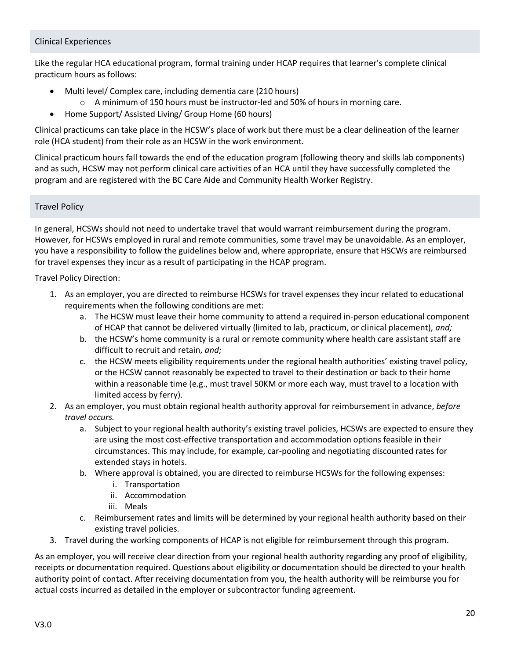# <span id="page-19-0"></span>Clinical Experiences

Like the regular HCA educational program, formal training under HCAP requires that learner's complete clinical practicum hours as follows:

- Multi level/ Complex care, including dementia care (210 hours)
	- $\circ$  A minimum of 150 hours must be instructor-led and 50% of hours in morning care.
- Home Support/ Assisted Living/ Group Home (60 hours)

Clinical practicums can take place in the HCSW's place of work but there must be a clear delineation of the learner role (HCA student) from their role as an HCSW in the work environment.

Clinical practicum hours fall towards the end of the education program (following theory and skills lab components) and as such, HCSW may not perform clinical care activities of an HCA until they have successfully completed the program and are registered with the BC Care Aide and Community Health Worker Registry.

# <span id="page-19-1"></span>Travel Policy

In general, HCSWs should not need to undertake travel that would warrant reimbursement during the program. However, for HCSWs employed in rural and remote communities, some travel may be unavoidable. As an employer, you have a responsibility to follow the guidelines below and, where appropriate, ensure that HSCWs are reimbursed for travel expenses they incur as a result of participating in the HCAP program.

Travel Policy Direction:

- 1. As an employer, you are directed to reimburse HCSWs for travel expenses they incur related to educational requirements when the following conditions are met:
	- a. The HCSW must leave their home community to attend a required in-person educational component of HCAP that cannot be delivered virtually (limited to lab, practicum, or clinical placement), *and;*
	- b. the HCSW's home community is a rural or remote community where health care assistant staff are difficult to recruit and retain, *and;*
	- c. the HCSW meets eligibility requirements under the regional health authorities' existing travel policy, or the HCSW cannot reasonably be expected to travel to their destination or back to their home within a reasonable time (e.g., must travel 50KM or more each way, must travel to a location with limited access by ferry).
- 2. As an employer, you must obtain regional health authority approval for reimbursement in advance, *before travel occurs.*
	- a. Subject to your regional health authority's existing travel policies, HCSWs are expected to ensure they are using the most cost-effective transportation and accommodation options feasible in their circumstances. This may include, for example, car-pooling and negotiating discounted rates for extended stays in hotels.
	- b. Where approval is obtained, you are directed to reimburse HCSWs for the following expenses:
		- i. Transportation
		- ii. Accommodation
		- iii. Meals
	- c. Reimbursement rates and limits will be determined by your regional health authority based on their existing travel policies.
- 3. Travel during the working components of HCAP is not eligible for reimbursement through this program.

As an employer, you will receive clear direction from your regional health authority regarding any proof of eligibility, receipts or documentation required. Questions about eligibility or documentation should be directed to your health authority point of contact. After receiving documentation from you, the health authority will be reimburse you for actual costs incurred as detailed in the employer or subcontractor funding agreement.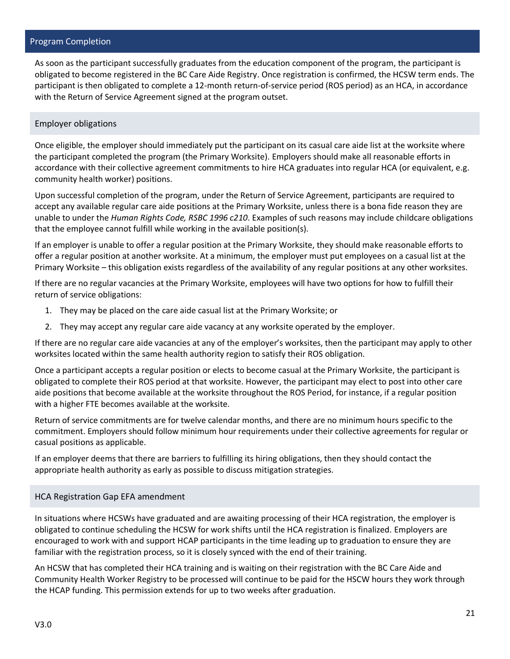# <span id="page-20-0"></span>Program Completion

As soon as the participant successfully graduates from the education component of the program, the participant is obligated to become registered in the BC Care Aide Registry. Once registration is confirmed, the HCSW term ends. The participant is then obligated to complete a 12-month return-of-service period (ROS period) as an HCA, in accordance with the Return of Service Agreement signed at the program outset.

# <span id="page-20-1"></span>Employer obligations

Once eligible, the employer should immediately put the participant on its casual care aide list at the worksite where the participant completed the program (the Primary Worksite). Employers should make all reasonable efforts in accordance with their collective agreement commitments to hire HCA graduates into regular HCA (or equivalent, e.g. community health worker) positions.

Upon successful completion of the program, under the Return of Service Agreement, participants are required to accept any available regular care aide positions at the Primary Worksite, unless there is a bona fide reason they are unable to under the *Human Rights Code, RSBC 1996 c210*. Examples of such reasons may include childcare obligations that the employee cannot fulfill while working in the available position(s).

If an employer is unable to offer a regular position at the Primary Worksite, they should make reasonable efforts to offer a regular position at another worksite. At a minimum, the employer must put employees on a casual list at the Primary Worksite – this obligation exists regardless of the availability of any regular positions at any other worksites.

If there are no regular vacancies at the Primary Worksite, employees will have two options for how to fulfill their return of service obligations:

- 1. They may be placed on the care aide casual list at the Primary Worksite; or
- 2. They may accept any regular care aide vacancy at any worksite operated by the employer.

If there are no regular care aide vacancies at any of the employer's worksites, then the participant may apply to other worksites located within the same health authority region to satisfy their ROS obligation.

Once a participant accepts a regular position or elects to become casual at the Primary Worksite, the participant is obligated to complete their ROS period at that worksite. However, the participant may elect to post into other care aide positions that become available at the worksite throughout the ROS Period, for instance, if a regular position with a higher FTE becomes available at the worksite.

Return of service commitments are for twelve calendar months, and there are no minimum hours specific to the commitment. Employers should follow minimum hour requirements under their collective agreements for regular or casual positions as applicable.

If an employer deems that there are barriers to fulfilling its hiring obligations, then they should contact the appropriate health authority as early as possible to discuss mitigation strategies.

# <span id="page-20-2"></span>HCA Registration Gap EFA amendment

In situations where HCSWs have graduated and are awaiting processing of their HCA registration, the employer is obligated to continue scheduling the HCSW for work shifts until the HCA registration is finalized. Employers are encouraged to work with and support HCAP participants in the time leading up to graduation to ensure they are familiar with the registration process, so it is closely synced with the end of their training.

An HCSW that has completed their HCA training and is waiting on their registration with the BC Care Aide and Community Health Worker Registry to be processed will continue to be paid for the HSCW hours they work through the HCAP funding. This permission extends for up to two weeks after graduation.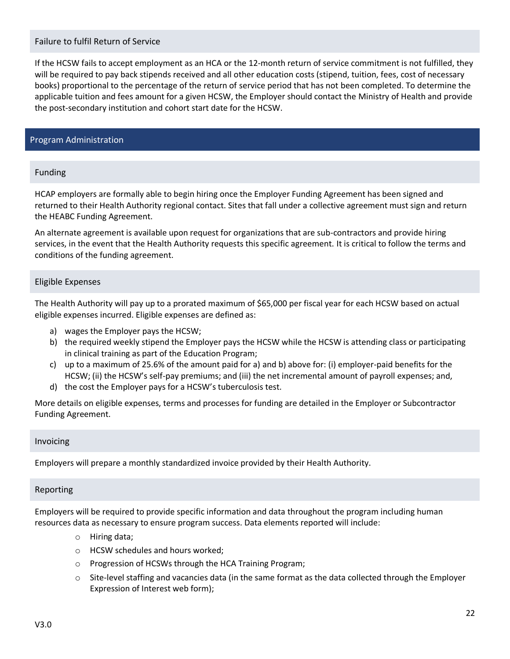# <span id="page-21-0"></span>Failure to fulfil Return of Service

If the HCSW fails to accept employment as an HCA or the 12-month return of service commitment is not fulfilled, they will be required to pay back stipends received and all other education costs (stipend, tuition, fees, cost of necessary books) proportional to the percentage of the return of service period that has not been completed. To determine the applicable tuition and fees amount for a given HCSW, the Employer should contact the Ministry of Health and provide the post-secondary institution and cohort start date for the HCSW.

# <span id="page-21-2"></span><span id="page-21-1"></span>Program Administration

#### Funding

HCAP employers are formally able to begin hiring once the Employer Funding Agreement has been signed and returned to their Health Authority regional contact. Sites that fall under a collective agreement must sign and return the HEABC Funding Agreement.

An alternate agreement is available upon request for organizations that are sub-contractors and provide hiring services, in the event that the Health Authority requests this specific agreement. It is critical to follow the terms and conditions of the funding agreement.

# <span id="page-21-3"></span>Eligible Expenses

The Health Authority will pay up to a prorated maximum of \$65,000 per fiscal year for each HCSW based on actual eligible expenses incurred. Eligible expenses are defined as:

- a) wages the Employer pays the HCSW;
- b) the required weekly stipend the Employer pays the HCSW while the HCSW is attending class or participating in clinical training as part of the Education Program;
- c) up to a maximum of 25.6% of the amount paid for a) and b) above for: (i) employer-paid benefits for the HCSW; (ii) the HCSW's self-pay premiums; and (iii) the net incremental amount of payroll expenses; and,
- d) the cost the Employer pays for a HCSW's tuberculosis test.

More details on eligible expenses, terms and processes for funding are detailed in the Employer or Subcontractor Funding Agreement.

#### <span id="page-21-4"></span>Invoicing

Employers will prepare a monthly standardized invoice provided by their Health Authority.

#### <span id="page-21-5"></span>Reporting

Employers will be required to provide specific information and data throughout the program including human resources data as necessary to ensure program success. Data elements reported will include:

- o Hiring data;
- o HCSW schedules and hours worked;
- o Progression of HCSWs through the HCA Training Program;
- $\circ$  Site-level staffing and vacancies data (in the same format as the data collected through the Employer Expression of Interest web form);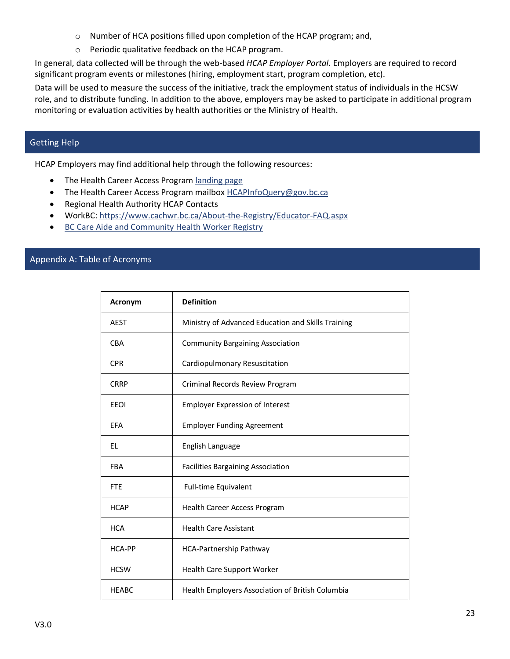- o Number of HCA positions filled upon completion of the HCAP program; and,
- o Periodic qualitative feedback on the HCAP program.

In general, data collected will be through the web-based *HCAP Employer Portal.* Employers are required to record significant program events or milestones (hiring, employment start, program completion, etc).

Data will be used to measure the success of the initiative, track the employment status of individuals in the HCSW role, and to distribute funding. In addition to the above, employers may be asked to participate in additional program monitoring or evaluation activities by health authorities or the Ministry of Health.

# <span id="page-22-0"></span>Getting Help

HCAP Employers may find additional help through the following resources:

- The Health Career Access Program [landing page](https://www2.gov.bc.ca/gov/content/covid-19/economic-recovery/work-in-health-care)
- The Health Career Access Program mailbox [HCAPInfoQuery@gov.bc.ca](mailto:HCAPInfoQuery@gov.bc.ca)
- Regional Health Authority HCAP Contacts
- WorkBC: <https://www.cachwr.bc.ca/About-the-Registry/Educator-FAQ.aspx>
- [BC Care Aide and Community Health Worker Registry](https://www.cachwr.bc.ca/Home.aspx)

# <span id="page-22-1"></span>Appendix A: Table of Acronyms

| Acronym      | <b>Definition</b>                                  |
|--------------|----------------------------------------------------|
| <b>AEST</b>  | Ministry of Advanced Education and Skills Training |
| <b>CBA</b>   | <b>Community Bargaining Association</b>            |
| <b>CPR</b>   | Cardiopulmonary Resuscitation                      |
| <b>CRRP</b>  | Criminal Records Review Program                    |
| <b>EEOI</b>  | <b>Employer Expression of Interest</b>             |
| EFA          | <b>Employer Funding Agreement</b>                  |
| EL           | English Language                                   |
| <b>FBA</b>   | <b>Facilities Bargaining Association</b>           |
| <b>FTE</b>   | Full-time Equivalent                               |
| <b>HCAP</b>  | Health Career Access Program                       |
| <b>HCA</b>   | <b>Health Care Assistant</b>                       |
| HCA-PP       | HCA-Partnership Pathway                            |
| <b>HCSW</b>  | Health Care Support Worker                         |
| <b>HEABC</b> | Health Employers Association of British Columbia   |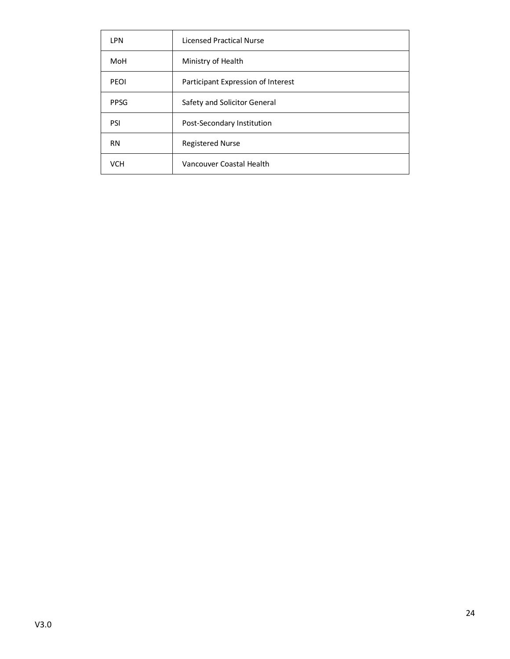| <b>LPN</b>  | <b>Licensed Practical Nurse</b>    |
|-------------|------------------------------------|
| MoH         | Ministry of Health                 |
| <b>PEOI</b> | Participant Expression of Interest |
| <b>PPSG</b> | Safety and Solicitor General       |
| <b>PSI</b>  | Post-Secondary Institution         |
| <b>RN</b>   | <b>Registered Nurse</b>            |
| <b>VCH</b>  | Vancouver Coastal Health           |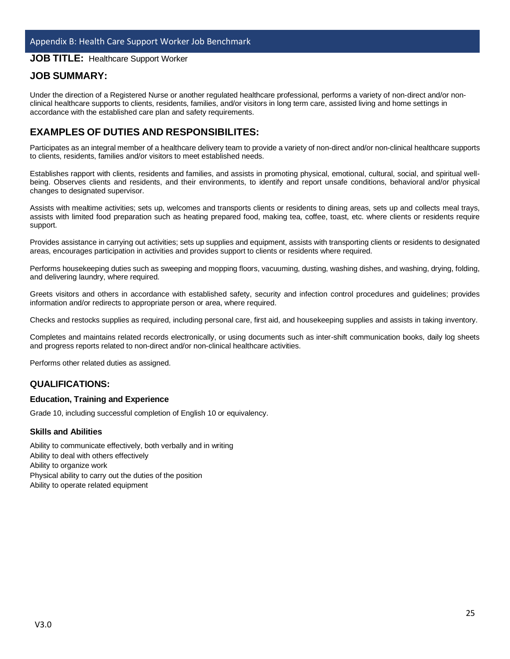# <span id="page-24-0"></span>**JOB TITLE:** Healthcare Support Worker

# **JOB SUMMARY:**

Under the direction of a Registered Nurse or another regulated healthcare professional, performs a variety of non-direct and/or nonclinical healthcare supports to clients, residents, families, and/or visitors in long term care, assisted living and home settings in accordance with the established care plan and safety requirements.

# **EXAMPLES OF DUTIES AND RESPONSIBILITES:**

Participates as an integral member of a healthcare delivery team to provide a variety of non-direct and/or non-clinical healthcare supports to clients, residents, families and/or visitors to meet established needs.

Establishes rapport with clients, residents and families, and assists in promoting physical, emotional, cultural, social, and spiritual wellbeing. Observes clients and residents, and their environments, to identify and report unsafe conditions, behavioral and/or physical changes to designated supervisor.

Assists with mealtime activities; sets up, welcomes and transports clients or residents to dining areas, sets up and collects meal trays, assists with limited food preparation such as heating prepared food, making tea, coffee, toast, etc. where clients or residents require support.

Provides assistance in carrying out activities; sets up supplies and equipment, assists with transporting clients or residents to designated areas, encourages participation in activities and provides support to clients or residents where required.

Performs housekeeping duties such as sweeping and mopping floors, vacuuming, dusting, washing dishes, and washing, drying, folding, and delivering laundry, where required.

Greets visitors and others in accordance with established safety, security and infection control procedures and guidelines; provides information and/or redirects to appropriate person or area, where required.

Checks and restocks supplies as required, including personal care, first aid, and housekeeping supplies and assists in taking inventory.

Completes and maintains related records electronically, or using documents such as inter-shift communication books, daily log sheets and progress reports related to non-direct and/or non-clinical healthcare activities.

Performs other related duties as assigned.

# **QUALIFICATIONS:**

#### **Education, Training and Experience**

Grade 10, including successful completion of English 10 or equivalency.

#### **Skills and Abilities**

Ability to communicate effectively, both verbally and in writing Ability to deal with others effectively Ability to organize work Physical ability to carry out the duties of the position Ability to operate related equipment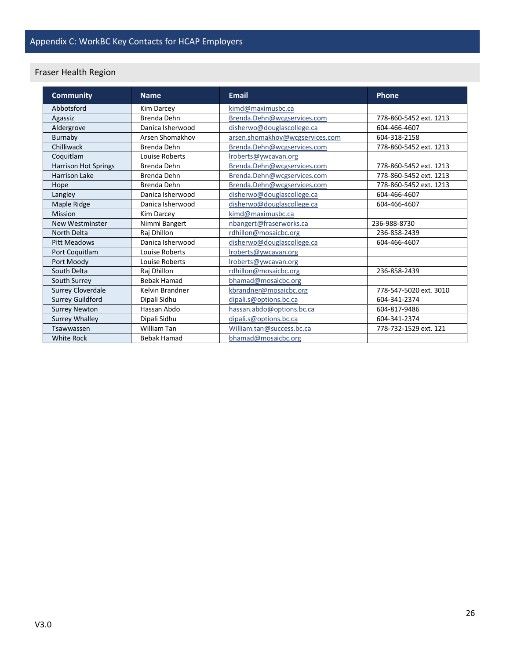# <span id="page-25-1"></span><span id="page-25-0"></span>Fraser Health Region

| <b>Community</b>        | <b>Name</b>        | Email                           | Phone                  |
|-------------------------|--------------------|---------------------------------|------------------------|
| Abbotsford              | Kim Darcey         | kimd@maximusbc.ca               |                        |
| Agassiz                 | Brenda Dehn        | Brenda.Dehn@wcgservices.com     | 778-860-5452 ext. 1213 |
| Aldergrove              | Danica Isherwood   | disherwo@douglascollege.ca      | 604-466-4607           |
| Burnaby                 | Arsen Shomakhov    | arsen.shomakhov@wcgservices.com | 604-318-2158           |
| Chilliwack              | Brenda Dehn        | Brenda.Dehn@wcgservices.com     | 778-860-5452 ext. 1213 |
| Coquitlam               | Louise Roberts     | Iroberts@ywcavan.org            |                        |
| Harrison Hot Springs    | Brenda Dehn        | Brenda.Dehn@wcgservices.com     | 778-860-5452 ext. 1213 |
| <b>Harrison Lake</b>    | Brenda Dehn        | Brenda.Dehn@wcgservices.com     | 778-860-5452 ext. 1213 |
| Hope                    | Brenda Dehn        | Brenda.Dehn@wcgservices.com     | 778-860-5452 ext. 1213 |
| Langley                 | Danica Isherwood   | disherwo@douglascollege.ca      | 604-466-4607           |
| Maple Ridge             | Danica Isherwood   | disherwo@douglascollege.ca      | 604-466-4607           |
| Mission                 | Kim Darcey         | kimd@maximusbc.ca               |                        |
| <b>New Westminster</b>  | Nimmi Bangert      | nbangert@fraserworks.ca         | 236-988-8730           |
| North Delta             | Raj Dhillon        | rdhillon@mosaicbc.org           | 236-858-2439           |
| <b>Pitt Meadows</b>     | Danica Isherwood   | disherwo@douglascollege.ca      | 604-466-4607           |
| Port Coquitlam          | Louise Roberts     | Iroberts@ywcavan.org            |                        |
| Port Moody              | Louise Roberts     | Iroberts@ywcavan.org            |                        |
| South Delta             | Raj Dhillon        | rdhillon@mosaicbc.org           | 236-858-2439           |
| South Surrey            | <b>Bebak Hamad</b> | bhamad@mosaicbc.org             |                        |
| Surrey Cloverdale       | Kelvin Brandner    | kbrandner@mosaicbc.org          | 778-547-5020 ext. 3010 |
| <b>Surrey Guildford</b> | Dipali Sidhu       | dipali.s@options.bc.ca          | 604-341-2374           |
| <b>Surrey Newton</b>    | Hassan Abdo        | hassan.abdo@options.bc.ca       | 604-817-9486           |
| <b>Surrey Whalley</b>   | Dipali Sidhu       | dipali.s@options.bc.ca          | 604-341-2374           |
| Tsawwassen              | <b>William Tan</b> | William.tan@success.bc.ca       | 778-732-1529 ext. 121  |
| <b>White Rock</b>       | <b>Bebak Hamad</b> | bhamad@mosaicbc.org             |                        |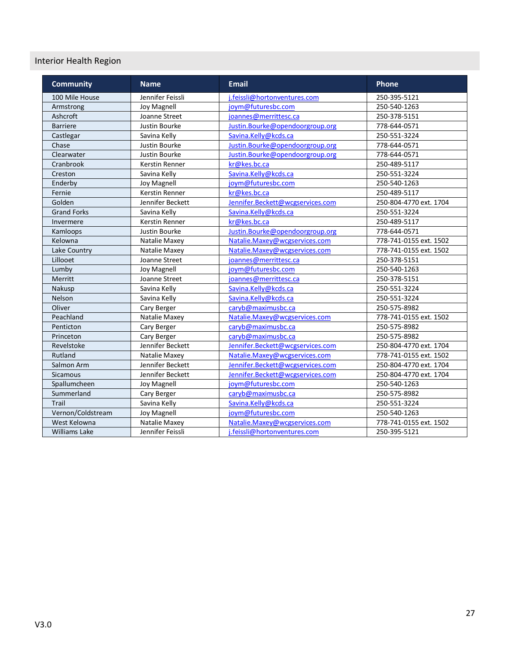# <span id="page-26-0"></span>Interior Health Region

| <b>Community</b>     | <b>Name</b>           | <b>Email</b>                     | <b>Phone</b>           |
|----------------------|-----------------------|----------------------------------|------------------------|
| 100 Mile House       | Jennifer Feissli      | i.feissli@hortonventures.com     | 250-395-5121           |
| Armstrong            | Joy Magnell           | joym@futuresbc.com               | 250-540-1263           |
| Ashcroft             | Joanne Street         | joannes@merrittesc.ca            | 250-378-5151           |
| <b>Barriere</b>      | Justin Bourke         | Justin.Bourke@opendoorgroup.org  | 778-644-0571           |
| Castlegar            | Savina Kelly          | Savina.Kelly@kcds.ca             | 250-551-3224           |
| Chase                | Justin Bourke         | Justin.Bourke@opendoorgroup.org  | 778-644-0571           |
| Clearwater           | Justin Bourke         | Justin.Bourke@opendoorgroup.org  | 778-644-0571           |
| Cranbrook            | Kerstin Renner        | kr@kes.bc.ca                     | 250-489-5117           |
| Creston              | Savina Kelly          | Savina.Kelly@kcds.ca             | 250-551-3224           |
| Enderby              | <b>Joy Magnell</b>    | joym@futuresbc.com               | 250-540-1263           |
| Fernie               | <b>Kerstin Renner</b> | kr@kes.bc.ca                     | 250-489-5117           |
| Golden               | Jennifer Beckett      | Jennifer.Beckett@wcgservices.com | 250-804-4770 ext. 1704 |
| <b>Grand Forks</b>   | Savina Kelly          | Savina.Kelly@kcds.ca             | 250-551-3224           |
| Invermere            | Kerstin Renner        | kr@kes.bc.ca                     | 250-489-5117           |
| Kamloops             | Justin Bourke         | Justin.Bourke@opendoorgroup.org  | 778-644-0571           |
| Kelowna              | Natalie Maxey         | Natalie.Maxey@wcgservices.com    | 778-741-0155 ext. 1502 |
| Lake Country         | Natalie Maxey         | Natalie.Maxey@wcgservices.com    | 778-741-0155 ext. 1502 |
| Lillooet             | Joanne Street         | joannes@merrittesc.ca            | 250-378-5151           |
| Lumby                | Joy Magnell           | joym@futuresbc.com               | 250-540-1263           |
| Merritt              | Joanne Street         | joannes@merrittesc.ca            | 250-378-5151           |
| Nakusp               | Savina Kelly          | Savina.Kelly@kcds.ca             | 250-551-3224           |
| Nelson               | Savina Kelly          | Savina.Kelly@kcds.ca             | 250-551-3224           |
| Oliver               | Cary Berger           | caryb@maximusbc.ca               | 250-575-8982           |
| Peachland            | Natalie Maxey         | Natalie.Maxey@wcgservices.com    | 778-741-0155 ext. 1502 |
| Penticton            | Cary Berger           | caryb@maximusbc.ca               | 250-575-8982           |
| Princeton            | Cary Berger           | caryb@maximusbc.ca               | 250-575-8982           |
| Revelstoke           | Jennifer Beckett      | Jennifer.Beckett@wcgservices.com | 250-804-4770 ext. 1704 |
| Rutland              | Natalie Maxey         | Natalie.Maxey@wcgservices.com    | 778-741-0155 ext. 1502 |
| Salmon Arm           | Jennifer Beckett      | Jennifer.Beckett@wcgservices.com | 250-804-4770 ext. 1704 |
| Sicamous             | Jennifer Beckett      | Jennifer.Beckett@wcgservices.com | 250-804-4770 ext. 1704 |
| Spallumcheen         | <b>Joy Magnell</b>    | joym@futuresbc.com               | 250-540-1263           |
| Summerland           | Cary Berger           | caryb@maximusbc.ca               | 250-575-8982           |
| Trail                | Savina Kelly          | Savina.Kelly@kcds.ca             | 250-551-3224           |
| Vernon/Coldstream    | Joy Magnell           | iovm@futuresbc.com               | 250-540-1263           |
| West Kelowna         | Natalie Maxey         | Natalie.Maxey@wcgservices.com    | 778-741-0155 ext. 1502 |
| <b>Williams Lake</b> | Jennifer Feissli      | j.feissli@hortonventures.com     | 250-395-5121           |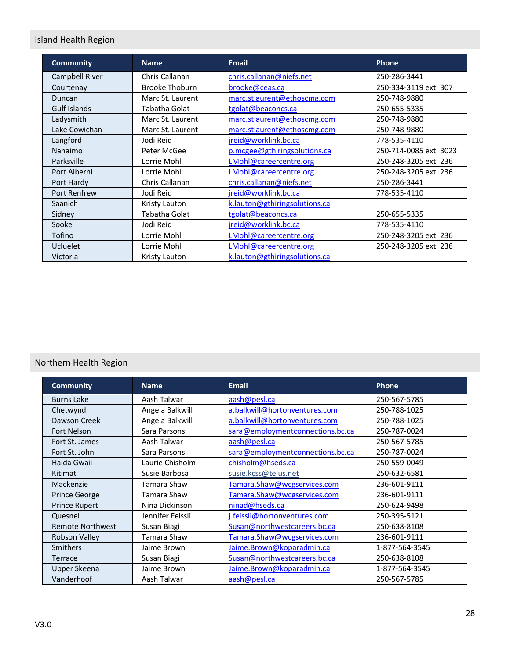# <span id="page-27-0"></span>Island Health Region

| <b>Community</b>    | <b>Name</b>           | <b>Email</b>                  | Phone                  |
|---------------------|-----------------------|-------------------------------|------------------------|
| Campbell River      | Chris Callanan        | chris.callanan@niefs.net      | 250-286-3441           |
| Courtenay           | <b>Brooke Thoburn</b> | brooke@ceas.ca                | 250-334-3119 ext. 307  |
| Duncan              | Marc St. Laurent      | marc.stlaurent@ethoscmg.com   | 250-748-9880           |
| <b>Gulf Islands</b> | Tabatha Golat         | tgolat@beaconcs.ca            | 250-655-5335           |
| Ladysmith           | Marc St. Laurent      | marc.stlaurent@ethoscmg.com   | 250-748-9880           |
| Lake Cowichan       | Marc St. Laurent      | marc.stlaurent@ethoscmg.com   | 250-748-9880           |
| Langford            | Jodi Reid             | jreid@worklink.bc.ca          | 778-535-4110           |
| Nanaimo             | Peter McGee           | p.mcgee@gthiringsolutions.ca  | 250-714-0085 ext. 3023 |
| Parksville          | Lorrie Mohl           | LMohl@careercentre.org        | 250-248-3205 ext. 236  |
| Port Alberni        | Lorrie Mohl           | LMohl@careercentre.org        | 250-248-3205 ext. 236  |
| Port Hardy          | Chris Callanan        | chris.callanan@niefs.net      | 250-286-3441           |
| <b>Port Renfrew</b> | Jodi Reid             | jreid@worklink.bc.ca          | 778-535-4110           |
| Saanich             | Kristy Lauton         | k.lauton@gthiringsolutions.ca |                        |
| Sidney              | Tabatha Golat         | tgolat@beaconcs.ca            | 250-655-5335           |
| Sooke               | Jodi Reid             | jreid@worklink.bc.ca          | 778-535-4110           |
| Tofino              | Lorrie Mohl           | LMohl@careercentre.org        | 250-248-3205 ext. 236  |
| <b>Ucluelet</b>     | Lorrie Mohl           | LMohl@careercentre.org        | 250-248-3205 ext. 236  |
| Victoria            | Kristy Lauton         | k.lauton@gthiringsolutions.ca |                        |

# <span id="page-27-1"></span>Northern Health Region

| <b>Community</b>        | <b>Name</b>      | <b>Email</b>                     | Phone          |
|-------------------------|------------------|----------------------------------|----------------|
| <b>Burns Lake</b>       | Aash Talwar      | aash@pesl.ca                     | 250-567-5785   |
| Chetwynd                | Angela Balkwill  | a.balkwill@hortonventures.com    | 250-788-1025   |
| Dawson Creek            | Angela Balkwill  | a.balkwill@hortonventures.com    | 250-788-1025   |
| <b>Fort Nelson</b>      | Sara Parsons     | sara@employmentconnections.bc.ca | 250-787-0024   |
| Fort St. James          | Aash Talwar      | aash@pesl.ca                     | 250-567-5785   |
| Fort St. John           | Sara Parsons     | sara@employmentconnections.bc.ca | 250-787-0024   |
| Haida Gwaii             | Laurie Chisholm  | chisholm@hseds.ca                | 250-559-0049   |
| Kitimat                 | Susie Barbosa    | susie.kcss@telus.net             | 250-632-6581   |
| Mackenzie               | Tamara Shaw      | Tamara.Shaw@wcgservices.com      | 236-601-9111   |
| <b>Prince George</b>    | Tamara Shaw      | Tamara.Shaw@wcgservices.com      | 236-601-9111   |
| <b>Prince Rupert</b>    | Nina Dickinson   | ninad@hseds.ca                   | 250-624-9498   |
| Quesnel                 | Jennifer Feissli | j.feissli@hortonventures.com     | 250-395-5121   |
| <b>Remote Northwest</b> | Susan Biagi      | Susan@northwestcareers.bc.ca     | 250-638-8108   |
| Robson Valley           | Tamara Shaw      | Tamara.Shaw@wcgservices.com      | 236-601-9111   |
| Smithers                | Jaime Brown      | Jaime.Brown@koparadmin.ca        | 1-877-564-3545 |
| Terrace                 | Susan Biagi      | Susan@northwestcareers.bc.ca     | 250-638-8108   |
| Upper Skeena            | Jaime Brown      | Jaime.Brown@koparadmin.ca        | 1-877-564-3545 |
| Vanderhoof              | Aash Talwar      | aash@pesl.ca                     | 250-567-5785   |